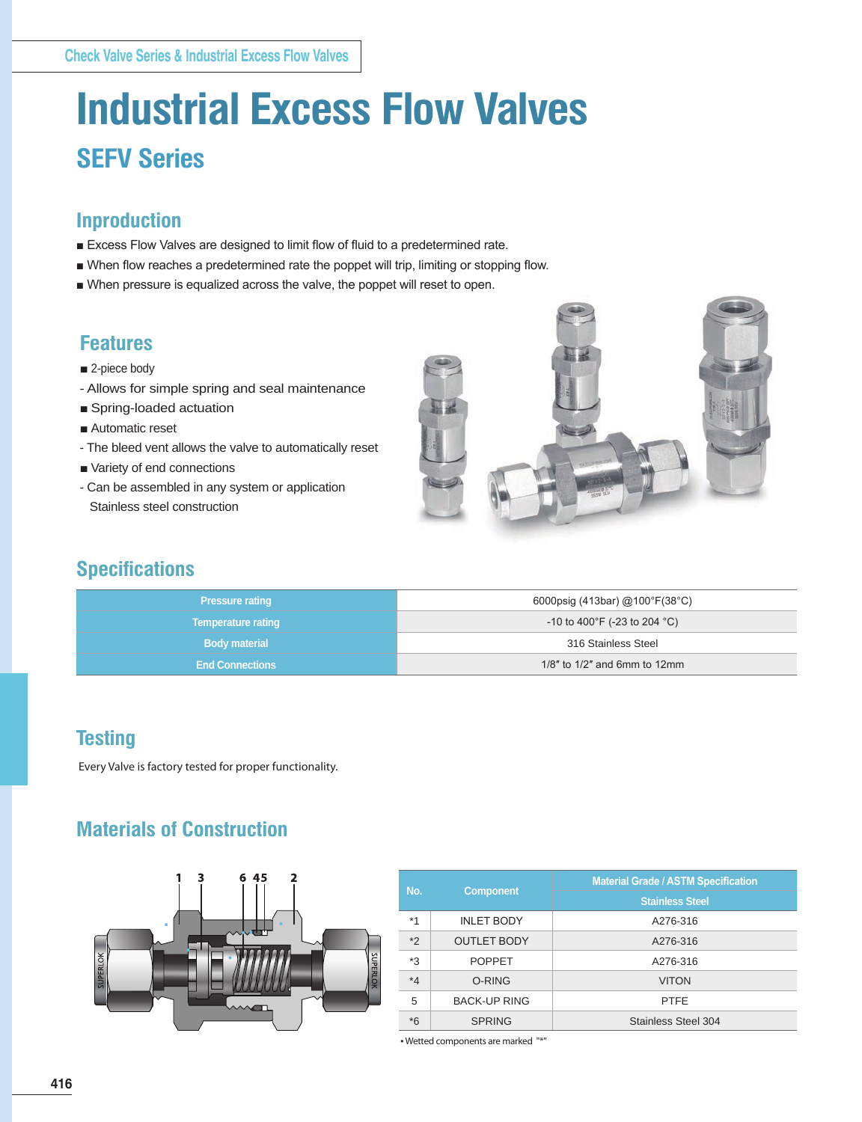# **Industrial Excess Flow Valves SEFV Series**

### **Inproduction**

- Excess Flow Valves are designed to limit flow of fluid to a predetermined rate.
- When flow reaches a predetermined rate the poppet will trip, limiting or stopping flow.
- When pressure is equalized across the valve, the poppet will reset to open.

### **Features**

- 2-piece body
- Allows for simple spring and seal maintenance
- Spring-loaded actuation
- Automatic reset
- The bleed vent allows the valve to automatically reset
- Variety of end connections
- Can be assembled in any system or application Stainless steel construction



### **Specifications**

| <b>Pressure rating</b>    | 6000psig (413bar) @100°F(38°C)     |  |  |
|---------------------------|------------------------------------|--|--|
| <b>Temperature rating</b> | $-10$ to 400°F (-23 to 204 °C)     |  |  |
| <b>Body material</b>      | 316 Stainless Steel                |  |  |
| <b>End Connections</b>    | $1/8$ " to $1/2$ " and 6mm to 12mm |  |  |

### **Testing**

Every Valve is factory tested for proper functionality.

### **Materials of Construction**



| No.     |                     | <b>Material Grade / ASTM Specification</b> |  |  |
|---------|---------------------|--------------------------------------------|--|--|
|         | <b>Component</b>    | <b>Stainless Steel</b>                     |  |  |
| $*1$    | <b>INLET BODY</b>   | A276-316                                   |  |  |
| $*2$    | <b>OUTLET BODY</b>  | A276-316                                   |  |  |
| *3      | <b>POPPET</b>       | A276-316                                   |  |  |
| $*_{4}$ | O-RING              | <b>VITON</b>                               |  |  |
| 5       | <b>BACK-UP RING</b> | <b>PTFE</b>                                |  |  |
| $*6$    | <b>SPRING</b>       | Stainless Steel 304                        |  |  |

• Wetted components are marked "\*"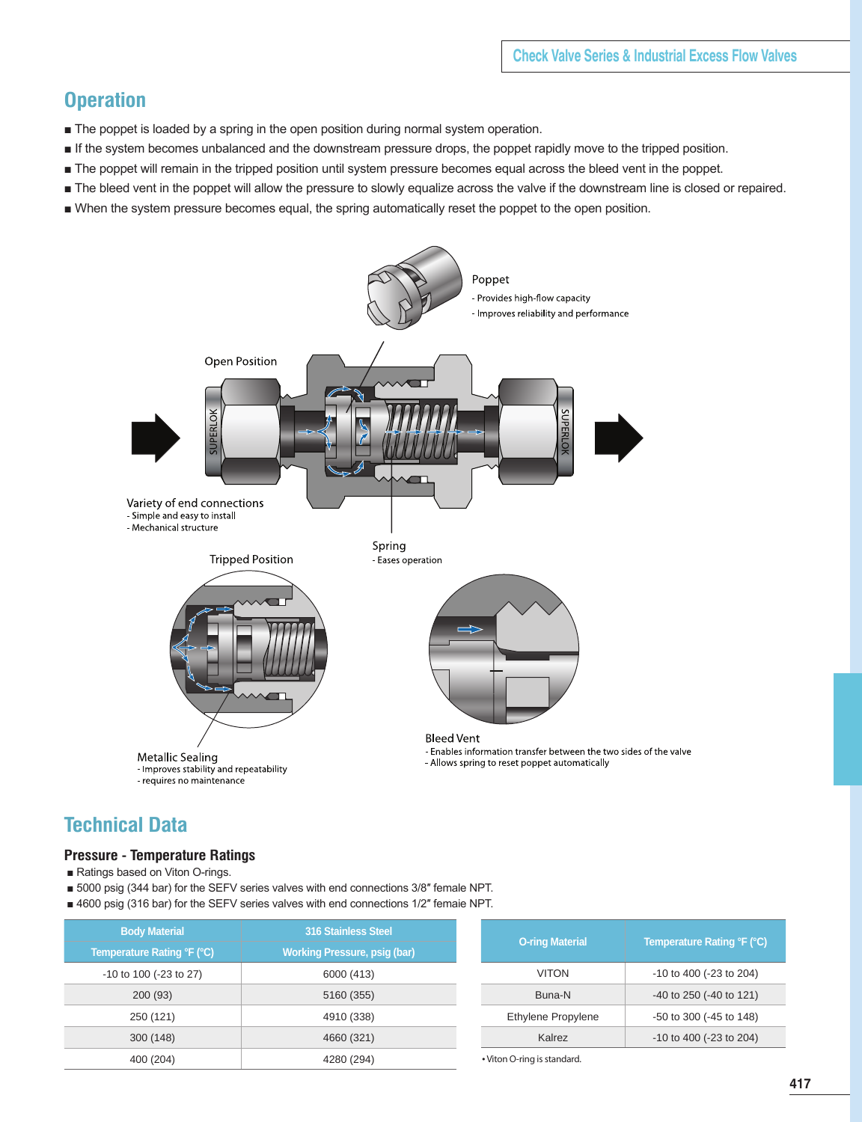### **Operation**

- The poppet is loaded by a spring in the open position during normal system operation.
- If the system becomes unbalanced and the downstream pressure drops, the poppet rapidly move to the tripped position.
- The poppet will remain in the tripped position until system pressure becomes equal across the bleed vent in the poppet.
- The bleed vent in the poppet will allow the pressure to slowly equalize across the valve if the downstream line is closed or repaired.
- When the system pressure becomes equal, the spring automatically reset the poppet to the open position.



### **Technical Data**

#### **Pressure - Temperature Ratings**

- Ratings based on Viton O-rings.
- 5000 psig (344 bar) for the SEFV series valves with end connections 3/8" female NPT.
- 4600 psig (316 bar) for the SEFV series valves with end connections 1/2" femaie NPT.

| <b>Body Material</b>       | <b>316 Stainless Steel</b>          |
|----------------------------|-------------------------------------|
| Temperature Rating °F (°C) | <b>Working Pressure, psig (bar)</b> |
| -10 to 100 (-23 to 27)     | 6000 (413)                          |
| 200 (93)                   | 5160 (355)                          |
| 250 (121)                  | 4910 (338)                          |
| 300 (148)                  | 4660 (321)                          |
| 400 (204)                  | 4280 (294)                          |

| <b>O-ring Material</b> | Temperature Rating °F (°C)   |
|------------------------|------------------------------|
| VITON                  | -10 to 400 (-23 to 204)      |
| Buna-N                 | $-40$ to 250 ( $-40$ to 121) |
| Ethylene Propylene     | $-50$ to 300 ( $-45$ to 148) |
| Kalrez                 | -10 to 400 (-23 to 204)      |

• Viton O-ring is standard.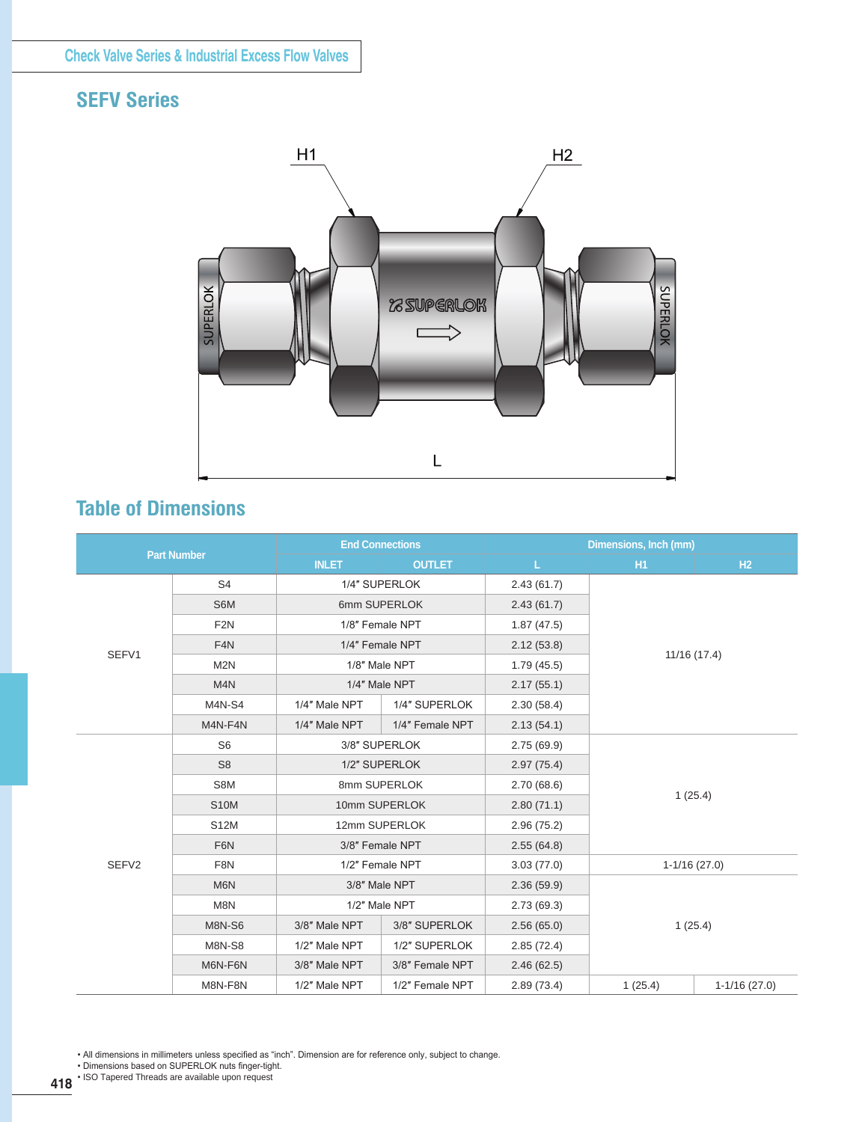## **SEFV Series**



### **Table of Dimensions**

| <b>Part Number</b> |                                 | <b>End Connections</b> |                 | Dimensions, Inch (mm) |                |                |  |
|--------------------|---------------------------------|------------------------|-----------------|-----------------------|----------------|----------------|--|
|                    |                                 | <b>INLET</b>           | <b>OUTLET</b>   | L<br><b>H1</b>        |                | H2             |  |
|                    | S <sub>4</sub><br>1/4" SUPERLOK |                        | 2.43(61.7)      |                       |                |                |  |
|                    | S6M                             |                        | 6mm SUPERLOK    | 2.43(61.7)            |                |                |  |
|                    | F <sub>2N</sub>                 | 1/8" Female NPT        |                 | 1.87(47.5)            |                |                |  |
| SEFV1              | F <sub>4</sub> N                |                        | 1/4" Female NPT | 2.12(53.8)            | 11/16 (17.4)   |                |  |
|                    | M <sub>2N</sub>                 |                        | 1/8" Male NPT   | 1.79(45.5)            |                |                |  |
|                    | M4N                             |                        | 1/4" Male NPT   | 2.17(55.1)            |                |                |  |
|                    | <b>M4N-S4</b>                   | 1/4" Male NPT          | 1/4" SUPERLOK   | 2.30(58.4)            |                |                |  |
|                    | M4N-F4N                         | 1/4" Male NPT          | 1/4" Female NPT | 2.13(54.1)            |                |                |  |
|                    | S <sub>6</sub>                  |                        | 3/8" SUPERLOK   |                       |                |                |  |
|                    | S <sub>8</sub>                  | 1/2" SUPERLOK          |                 | 2.97(75.4)            |                |                |  |
| S8M<br><b>S10M</b> |                                 | 8mm SUPERLOK           |                 | 2.70(68.6)            | 1(25.4)        |                |  |
|                    |                                 |                        | 10mm SUPERLOK   |                       |                |                |  |
|                    | S12M                            |                        | 12mm SUPERLOK   | 2.96(75.2)            |                |                |  |
|                    | F6N                             |                        | 3/8" Female NPT |                       |                |                |  |
| SEFV2              | F8N                             |                        | 1/2" Female NPT | 3.03(77.0)            | $1-1/16(27.0)$ |                |  |
| M <sub>6</sub> N   |                                 | 3/8" Male NPT          |                 | 2.36(59.9)            |                |                |  |
|                    | M8N                             |                        | 1/2" Male NPT   | 2.73(69.3)            |                |                |  |
|                    | <b>M8N-S6</b>                   | 3/8" Male NPT          | 3/8" SUPERLOK   | 2.56(65.0)            |                | 1(25.4)        |  |
|                    | <b>M8N-S8</b>                   | 1/2" Male NPT          | 1/2" SUPERLOK   | 2.85(72.4)            |                |                |  |
|                    | M6N-F6N                         | 3/8" Male NPT          | 3/8" Female NPT | 2.46(62.5)            |                |                |  |
|                    | M8N-F8N                         | 1/2" Male NPT          | 1/2" Female NPT | 2.89(73.4)            | 1(25.4)        | $1-1/16(27.0)$ |  |

• All dimensions in millimeters unless specified as "inch". Dimension are for reference only, subject to change.

• Dimensions based on SUPERLOK nuts finger-tight.

**418** • ISO Tapered Threads are available upon request